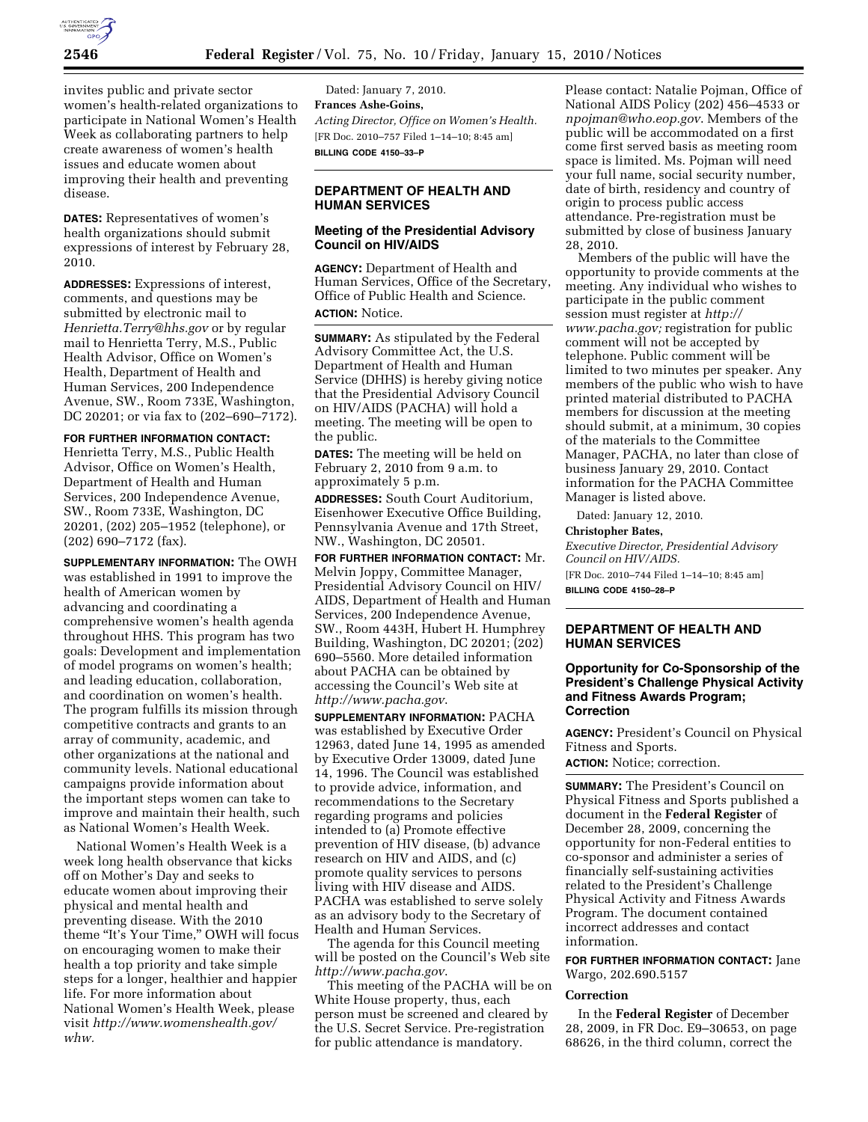

invites public and private sector women's health-related organizations to participate in National Women's Health Week as collaborating partners to help create awareness of women's health issues and educate women about improving their health and preventing disease.

**DATES:** Representatives of women's health organizations should submit expressions of interest by February 28, 2010.

**ADDRESSES:** Expressions of interest, comments, and questions may be submitted by electronic mail to *Henrietta.Terry@hhs.gov* or by regular mail to Henrietta Terry, M.S., Public Health Advisor, Office on Women's Health, Department of Health and Human Services, 200 Independence Avenue, SW., Room 733E, Washington, DC 20201; or via fax to (202–690–7172).

**FOR FURTHER INFORMATION CONTACT:** 

Henrietta Terry, M.S., Public Health Advisor, Office on Women's Health, Department of Health and Human Services, 200 Independence Avenue, SW., Room 733E, Washington, DC 20201, (202) 205–1952 (telephone), or (202) 690–7172 (fax).

**SUPPLEMENTARY INFORMATION:** The OWH was established in 1991 to improve the health of American women by advancing and coordinating a comprehensive women's health agenda throughout HHS. This program has two goals: Development and implementation of model programs on women's health; and leading education, collaboration, and coordination on women's health. The program fulfills its mission through competitive contracts and grants to an array of community, academic, and other organizations at the national and community levels. National educational campaigns provide information about the important steps women can take to improve and maintain their health, such as National Women's Health Week.

National Women's Health Week is a week long health observance that kicks off on Mother's Day and seeks to educate women about improving their physical and mental health and preventing disease. With the 2010 theme "It's Your Time," OWH will focus on encouraging women to make their health a top priority and take simple steps for a longer, healthier and happier life. For more information about National Women's Health Week, please visit *http://www.womenshealth.gov/ whw.* 

Dated: January 7, 2010. **Frances Ashe-Goins,**  *Acting Director, Office on Women's Health.*  [FR Doc. 2010–757 Filed 1–14–10; 8:45 am] **BILLING CODE 4150–33–P** 

## **DEPARTMENT OF HEALTH AND HUMAN SERVICES**

## **Meeting of the Presidential Advisory Council on HIV/AIDS**

**AGENCY:** Department of Health and Human Services, Office of the Secretary, Office of Public Health and Science. **ACTION:** Notice.

**SUMMARY:** As stipulated by the Federal Advisory Committee Act, the U.S. Department of Health and Human Service (DHHS) is hereby giving notice that the Presidential Advisory Council on HIV/AIDS (PACHA) will hold a meeting. The meeting will be open to the public.

**DATES:** The meeting will be held on February 2, 2010 from 9 a.m. to approximately 5 p.m.

**ADDRESSES:** South Court Auditorium, Eisenhower Executive Office Building, Pennsylvania Avenue and 17th Street, NW., Washington, DC 20501.

**FOR FURTHER INFORMATION CONTACT:** Mr. Melvin Joppy, Committee Manager, Presidential Advisory Council on HIV/ AIDS, Department of Health and Human Services, 200 Independence Avenue, SW., Room 443H, Hubert H. Humphrey Building, Washington, DC 20201; (202) 690–5560. More detailed information about PACHA can be obtained by accessing the Council's Web site at *http://www.pacha.gov*.

**SUPPLEMENTARY INFORMATION:** PACHA was established by Executive Order 12963, dated June 14, 1995 as amended by Executive Order 13009, dated June 14, 1996. The Council was established to provide advice, information, and recommendations to the Secretary regarding programs and policies intended to (a) Promote effective prevention of HIV disease, (b) advance research on HIV and AIDS, and (c) promote quality services to persons living with HIV disease and AIDS. PACHA was established to serve solely as an advisory body to the Secretary of Health and Human Services.

The agenda for this Council meeting will be posted on the Council's Web site *http://www.pacha.gov*.

This meeting of the PACHA will be on White House property, thus, each person must be screened and cleared by the U.S. Secret Service. Pre-registration for public attendance is mandatory.

Please contact: Natalie Pojman, Office of National AIDS Policy (202) 456–4533 or *npojman@who.eop.gov*. Members of the public will be accommodated on a first come first served basis as meeting room space is limited. Ms. Pojman will need your full name, social security number, date of birth, residency and country of origin to process public access attendance. Pre-registration must be submitted by close of business January 28, 2010.

Members of the public will have the opportunity to provide comments at the meeting. Any individual who wishes to participate in the public comment session must register at *http:// www.pacha.gov;* registration for public comment will not be accepted by telephone. Public comment will be limited to two minutes per speaker. Any members of the public who wish to have printed material distributed to PACHA members for discussion at the meeting should submit, at a minimum, 30 copies of the materials to the Committee Manager, PACHA, no later than close of business January 29, 2010. Contact information for the PACHA Committee Manager is listed above.

Dated: January 12, 2010.

**Christopher Bates,** 

*Executive Director, Presidential Advisory Council on HIV/AIDS.* 

[FR Doc. 2010–744 Filed 1–14–10; 8:45 am] **BILLING CODE 4150–28–P** 

# **DEPARTMENT OF HEALTH AND HUMAN SERVICES**

### **Opportunity for Co-Sponsorship of the President's Challenge Physical Activity and Fitness Awards Program; Correction**

**AGENCY:** President's Council on Physical Fitness and Sports.

**ACTION:** Notice; correction.

**SUMMARY:** The President's Council on Physical Fitness and Sports published a document in the **Federal Register** of December 28, 2009, concerning the opportunity for non-Federal entities to co-sponsor and administer a series of financially self-sustaining activities related to the President's Challenge Physical Activity and Fitness Awards Program. The document contained incorrect addresses and contact information.

**FOR FURTHER INFORMATION CONTACT:** Jane Wargo, 202.690.5157

#### **Correction**

In the **Federal Register** of December 28, 2009, in FR Doc. E9–30653, on page 68626, in the third column, correct the